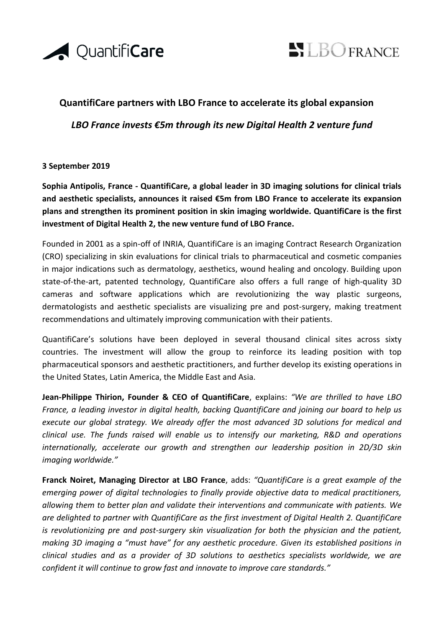



## **QuantifiCare partners with LBO France to accelerate its global expansion**

*LBO France invests €5m through its new Digital Health 2 venture fund*

## **3 September 2019**

**Sophia Antipolis, France - QuantifiCare, a global leader in 3D imaging solutions for clinical trials and aesthetic specialists, announces it raised €5m from LBO France to accelerate its expansion plans and strengthen its prominent position in skin imaging worldwide. QuantifiCare is the first investment of Digital Health 2, the new venture fund of LBO France.**

Founded in 2001 as a spin-off of INRIA, QuantifiCare is an imaging Contract Research Organization (CRO) specializing in skin evaluations for clinical trials to pharmaceutical and cosmetic companies in major indications such as dermatology, aesthetics, wound healing and oncology. Building upon state-of-the-art, patented technology, QuantifiCare also offers a full range of high-quality 3D cameras and software applications which are revolutionizing the way plastic surgeons, dermatologists and aesthetic specialists are visualizing pre and post-surgery, making treatment recommendations and ultimately improving communication with their patients.

QuantifiCare's solutions have been deployed in several thousand clinical sites across sixty countries. The investment will allow the group to reinforce its leading position with top pharmaceutical sponsors and aesthetic practitioners, and further develop its existing operations in the United States, Latin America, the Middle East and Asia.

**Jean-Philippe Thirion, Founder & CEO of QuantifiCare**, explains: *"We are thrilled to have LBO France, a leading investor in digital health, backing QuantifiCare and joining our board to help us execute our global strategy. We already offer the most advanced 3D solutions for medical and clinical use. The funds raised will enable us to intensify our marketing, R&D and operations internationally, accelerate our growth and strengthen our leadership position in 2D/3D skin imaging worldwide."*

**Franck Noiret, Managing Director at LBO France**, adds: *"QuantifiCare is a great example of the emerging power of digital technologies to finally provide objective data to medical practitioners, allowing them to better plan and validate their interventions and communicate with patients. We are delighted to partner with QuantifiCare as the first investment of Digital Health 2. QuantifiCare is revolutionizing pre and post-surgery skin visualization for both the physician and the patient, making 3D imaging a "must have" for any aesthetic procedure. Given its established positions in clinical studies and as a provider of 3D solutions to aesthetics specialists worldwide, we are confident it will continue to grow fast and innovate to improve care standards."*